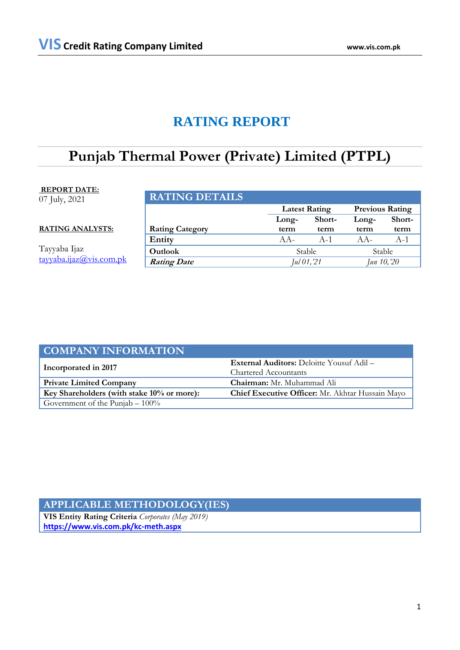# **RATING REPORT**

# **Punjab Thermal Power (Private) Limited (PTPL)**

## **REPORT DATE:**

07 July, 2021

**RATING ANALYSTS:**

Tayyaba Ijaz [tayyaba.ijaz@vis.com.pk](mailto:tayyaba.ijaz@vis.com.pk)

| <b>RATING DETAILS</b>  |                      |        |                        |        |
|------------------------|----------------------|--------|------------------------|--------|
|                        | <b>Latest Rating</b> |        | <b>Previous Rating</b> |        |
|                        | Long-                | Short- | Long-                  | Short- |
| <b>Rating Category</b> | term                 | term   | term                   | term   |
| Entity                 | $AA -$               | $A-1$  | $AA -$                 | $A-1$  |
| Outlook                | Stable               |        | Stable                 |        |
| <b>Rating Date</b>     | Jul 01, 21           |        | Jun 10, 20             |        |

| <b>COMPANY INFORMATION</b>                 |                                                  |  |  |
|--------------------------------------------|--------------------------------------------------|--|--|
| Incorporated in 2017                       | <b>External Auditors:</b> Deloitte Yousuf Adil – |  |  |
|                                            | Chartered Accountants                            |  |  |
| <b>Private Limited Company</b>             | <b>Chairman:</b> Mr. Muhammad Ali                |  |  |
| Key Shareholders (with stake 10% or more): | Chief Executive Officer: Mr. Akhtar Hussain Mayo |  |  |
| Government of the Punjab $-100\%$          |                                                  |  |  |

## **APPLICABLE METHODOLOGY(IES)**

**VIS Entity Rating Criteria** *Corporates (May 2019)* **<https://www.vis.com.pk/kc-meth.aspx>**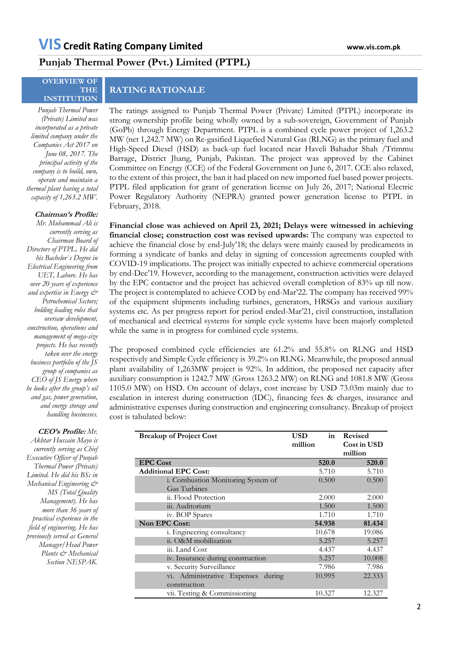## **Punjab Thermal Power (Pvt.) Limited (PTPL)**

### **OVERVIEW OF THE INSTITUTION**

### *Punjab Thermal Power (Private) Limited was incorporated as a private limited company under the Companies Act 2017 on June 08, 2017. The principal activity of the company is to build, own, operate and maintain a thermal plant having a total capacity of 1,263.2 MW.*

### **Chairman's Profile:**

*Mr. Muhammad Ali is currently serving as Chairman Board of Directors of PTPL. He did his Bachelor`s Degree in Electrical Engineering from UET, Lahore. He has over 20 years of experience and expertise in Energy & Petrochemical Sectors; holding leading roles that oversaw development, construction, operations and management of mega-size projects. He has recently taken over the energy business portfolio of the JS group of companies as CEO of JS Energy where he looks after the group's oil and gas, power generation, and energy storage and handling businesses.*

#### **CEO's Profile:** *Mr.*

*Akhtar Hussain Mayo is currently serving as Chief Executive Officer of Punjab Thermal Power (Private) Limited. He did his BSc in Mechanical Engineering & MS (Total Quality Management). He has more than 36 years of practical experience in the field of engineering. He has previously served as General Manager/Head Power Plants & Mechanical Section NESPAK.*

## **RATING RATIONALE**

The ratings assigned to Punjab Thermal Power (Private) Limited (PTPL) incorporate its strong ownership profile being wholly owned by a sub-sovereign, Government of Punjab (GoPb) through Energy Department. PTPL is a combined cycle power project of 1,263.2 MW (net 1,242.7 MW) on Re-gasified Liquefied Natural Gas (RLNG) as the primary fuel and High-Speed Diesel (HSD) as back-up fuel located near Haveli Bahadur Shah /Trimmu Barrage, District Jhang, Punjab, Pakistan. The project was approved by the Cabinet Committee on Energy (CCE) of the Federal Government on June 6, 2017. CCE also relaxed, to the extent of this project, the ban it had placed on new imported fuel based power projects. PTPL filed application for grant of generation license on July 26, 2017; National Electric Power Regulatory Authority (NEPRA) granted power generation license to PTPL in February, 2018.

**Financial close was achieved on April 23, 2021; Delays were witnessed in achieving financial close; construction cost was revised upwards:** The company was expected to achieve the financial close by end-July'18; the delays were mainly caused by predicaments in forming a syndicate of banks and delay in signing of concession agreements coupled with COVID-19 implications. The project was initially expected to achieve commercial operations by end-Dec'19. However, according to the management, construction activities were delayed by the EPC contactor and the project has achieved overall completion of 83% up till now. The project is contemplated to achieve COD by end-Mar'22. The company has received 99% of the equipment shipments including turbines, generators, HRSGs and various auxiliary systems etc. As per progress report for period ended-Mar'21, civil construction, installation of mechanical and electrical systems for simple cycle systems have been majorly completed while the same is in progress for combined cycle systems.

The proposed combined cycle efficiencies are 61.2% and 55.8% on RLNG and HSD respectively and Simple Cycle efficiency is 39.2% on RLNG. Meanwhile, the proposed annual plant availability of 1,263MW project is 92%. In addition, the proposed net capacity after auxiliary consumption is 1242.7 MW (Gross 1263.2 MW) on RLNG and 1081.8 MW (Gross 1105.0 MW) on HSD. On account of delays, cost increase by USD 73.03m mainly due to escalation in interest during construction (IDC), financing fees & charges, insurance and administrative expenses during construction and engineering consultancy. Breakup of project cost is tabulated below:

| <b>Breakup of Project Cost</b>     | in<br>USD - | <b>Revised</b> |
|------------------------------------|-------------|----------------|
|                                    | million     | Cost in USD    |
|                                    |             | million        |
| <b>EPC Cost</b>                    | 520.0       | 520.0          |
| <b>Additional EPC Cost:</b>        | 5.710       | 5.710          |
| i. Combustion Monitoring System of | 0.500       | 0.500          |
| Gas Turbines                       |             |                |
| ii. Flood Protection               | 2.000       | 2.000          |
| iii. Auditorium                    | 1.500       | 1.500          |
| iv. BOP Spares                     | 1.710       | 1.710          |
| Non EPC Cost:                      | 54.938      | 81.434         |
| i. Engineering consultancy         | 10.678      | 19.086         |
| ii. O&M mobilization               | 5.257       | 5.257          |
| iii. Land Cost                     | 4.437       | 4.437          |
| iv. Insurance during construction  | 5.257       | 10.008         |
| v. Security Surveillance           | 7.986       | 7.986          |
| vi. Administrative Expenses during | 10.995      | 22.333         |
| construction                       |             |                |
| vii. Testing & Commissioning       | 10.327      | 12.327         |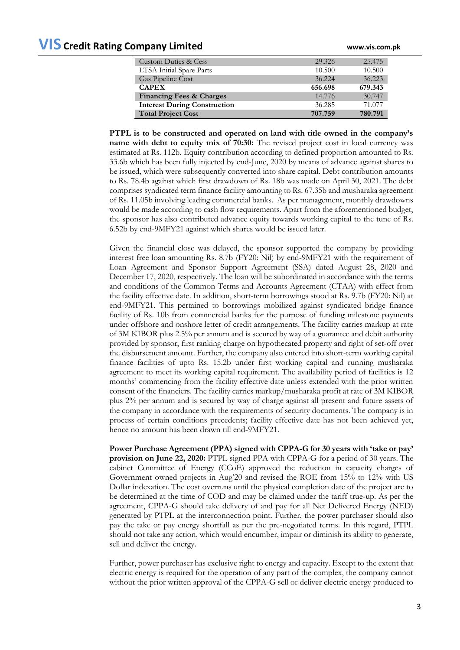# **VIS Credit Rating Company Limited www.vis.com.pk**

| <b>Custom Duties &amp; Cess</b>     | 29.326  | 25.475  |
|-------------------------------------|---------|---------|
| LTSA Initial Spare Parts            | 10.500  | 10.500  |
| Gas Pipeline Cost                   | 36.224  | 36.223  |
| <b>CAPEX</b>                        | 656.698 | 679.343 |
| <b>Financing Fees &amp; Charges</b> | 14.776  | 30.747  |
| <b>Interest During Construction</b> | 36.285  | 71.077  |
| <b>Total Project Cost</b>           | 707.759 | 780.791 |

**PTPL is to be constructed and operated on land with title owned in the company's name with debt to equity mix of 70:30:** The revised project cost in local currency was estimated at Rs. 112b. Equity contribution according to defined proportion amounted to Rs. 33.6b which has been fully injected by end-June, 2020 by means of advance against shares to be issued, which were subsequently converted into share capital. Debt contribution amounts to Rs. 78.4b against which first drawdown of Rs. 18b was made on April 30, 2021. The debt comprises syndicated term finance facility amounting to Rs. 67.35b and musharaka agreement of Rs. 11.05b involving leading commercial banks. As per management, monthly drawdowns would be made according to cash flow requirements. Apart from the aforementioned budget, the sponsor has also contributed advance equity towards working capital to the tune of Rs. 6.52b by end-9MFY21 against which shares would be issued later.

Given the financial close was delayed, the sponsor supported the company by providing interest free loan amounting Rs. 8.7b (FY20: Nil) by end-9MFY21 with the requirement of Loan Agreement and Sponsor Support Agreement (SSA) dated August 28, 2020 and December 17, 2020, respectively. The loan will be subordinated in accordance with the terms and conditions of the Common Terms and Accounts Agreement (CTAA) with effect from the facility effective date. In addition, short-term borrowings stood at Rs. 9.7b (FY20: Nil) at end-9MFY21. This pertained to borrowings mobilized against syndicated bridge finance facility of Rs. 10b from commercial banks for the purpose of funding milestone payments under offshore and onshore letter of credit arrangements. The facility carries markup at rate of 3M KIBOR plus 2.5% per annum and is secured by way of a guarantee and debit authority provided by sponsor, first ranking charge on hypothecated property and right of set-off over the disbursement amount. Further, the company also entered into short-term working capital finance facilities of upto Rs. 15.2b under first working capital and running musharaka agreement to meet its working capital requirement. The availability period of facilities is 12 months' commencing from the facility effective date unless extended with the prior written consent of the financiers. The facility carries markup/musharaka profit at rate of 3M KIBOR plus 2% per annum and is secured by way of charge against all present and future assets of the company in accordance with the requirements of security documents. The company is in process of certain conditions precedents; facility effective date has not been achieved yet, hence no amount has been drawn till end-9MFY21.

**Power Purchase Agreement (PPA) signed with CPPA-G for 30 years with 'take or pay' provision on June 22, 2020:** PTPL signed PPA with CPPA-G for a period of 30 years. The cabinet Committee of Energy (CCoE) approved the reduction in capacity charges of Government owned projects in Aug'20 and revised the ROE from 15% to 12% with US Dollar indexation. The cost overruns until the physical completion date of the project are to be determined at the time of COD and may be claimed under the tariff true-up. As per the agreement, CPPA-G should take delivery of and pay for all Net Delivered Energy (NED) generated by PTPL at the interconnection point. Further, the power purchaser should also pay the take or pay energy shortfall as per the pre-negotiated terms. In this regard, PTPL should not take any action, which would encumber, impair or diminish its ability to generate, sell and deliver the energy.

Further, power purchaser has exclusive right to energy and capacity. Except to the extent that electric energy is required for the operation of any part of the complex, the company cannot without the prior written approval of the CPPA-G sell or deliver electric energy produced to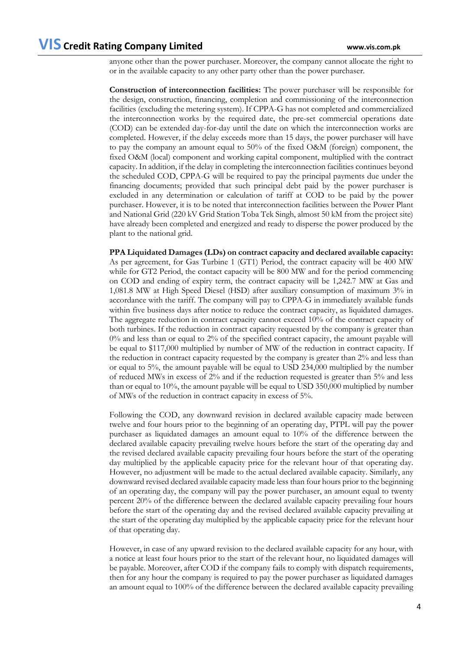anyone other than the power purchaser. Moreover, the company cannot allocate the right to or in the available capacity to any other party other than the power purchaser.

**Construction of interconnection facilities:** The power purchaser will be responsible for the design, construction, financing, completion and commissioning of the interconnection facilities (excluding the metering system). If CPPA-G has not completed and commercialized the interconnection works by the required date, the pre-set commercial operations date (COD) can be extended day-for-day until the date on which the interconnection works are completed. However, if the delay exceeds more than 15 days, the power purchaser will have to pay the company an amount equal to 50% of the fixed O&M (foreign) component, the fixed O&M (local) component and working capital component, multiplied with the contract capacity. In addition, if the delay in completing the interconnection facilities continues beyond the scheduled COD, CPPA-G will be required to pay the principal payments due under the financing documents; provided that such principal debt paid by the power purchaser is excluded in any determination or calculation of tariff at COD to be paid by the power purchaser. However, it is to be noted that interconnection facilities between the Power Plant and National Grid (220 kV Grid Station Toba Tek Singh, almost 50 kM from the project site) have already been completed and energized and ready to disperse the power produced by the plant to the national grid.

**PPA Liquidated Damages (LDs) on contract capacity and declared available capacity:**  As per agreement, for Gas Turbine 1 (GT1) Period, the contract capacity will be 400 MW while for GT2 Period, the contact capacity will be 800 MW and for the period commencing on COD and ending of expiry term, the contract capacity will be 1,242.7 MW at Gas and 1,081.8 MW at High Speed Diesel (HSD) after auxiliary consumption of maximum 3% in accordance with the tariff. The company will pay to CPPA-G in immediately available funds within five business days after notice to reduce the contract capacity, as liquidated damages. The aggregate reduction in contract capacity cannot exceed 10% of the contract capacity of both turbines. If the reduction in contract capacity requested by the company is greater than 0% and less than or equal to 2% of the specified contract capacity, the amount payable will be equal to \$117,000 multiplied by number of MW of the reduction in contract capacity. If the reduction in contract capacity requested by the company is greater than 2% and less than or equal to 5%, the amount payable will be equal to USD 234,000 multiplied by the number of reduced MWs in excess of 2% and if the reduction requested is greater than 5% and less than or equal to 10%, the amount payable will be equal to USD 350,000 multiplied by number of MWs of the reduction in contract capacity in excess of 5%.

Following the COD, any downward revision in declared available capacity made between twelve and four hours prior to the beginning of an operating day, PTPL will pay the power purchaser as liquidated damages an amount equal to 10% of the difference between the declared available capacity prevailing twelve hours before the start of the operating day and the revised declared available capacity prevailing four hours before the start of the operating day multiplied by the applicable capacity price for the relevant hour of that operating day. However, no adjustment will be made to the actual declared available capacity. Similarly, any downward revised declared available capacity made less than four hours prior to the beginning of an operating day, the company will pay the power purchaser, an amount equal to twenty percent 20% of the difference between the declared available capacity prevailing four hours before the start of the operating day and the revised declared available capacity prevailing at the start of the operating day multiplied by the applicable capacity price for the relevant hour of that operating day.

However, in case of any upward revision to the declared available capacity for any hour, with a notice at least four hours prior to the start of the relevant hour, no liquidated damages will be payable. Moreover, after COD if the company fails to comply with dispatch requirements, then for any hour the company is required to pay the power purchaser as liquidated damages an amount equal to 100% of the difference between the declared available capacity prevailing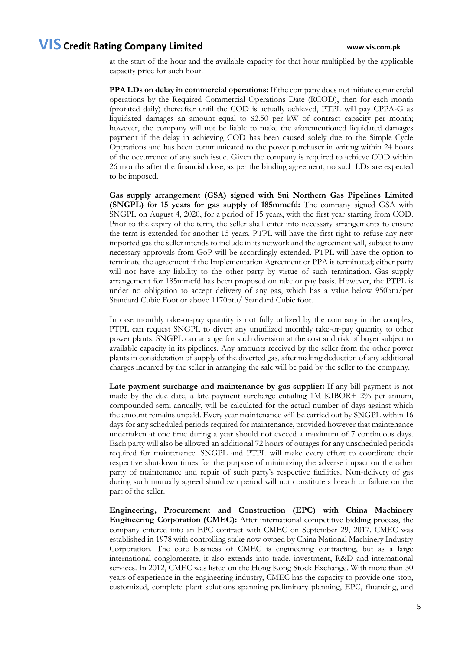at the start of the hour and the available capacity for that hour multiplied by the applicable capacity price for such hour.

**PPA LDs on delay in commercial operations:** If the company does not initiate commercial operations by the Required Commercial Operations Date (RCOD), then for each month (prorated daily) thereafter until the COD is actually achieved, PTPL will pay CPPA-G as liquidated damages an amount equal to \$2.50 per kW of contract capacity per month; however, the company will not be liable to make the aforementioned liquidated damages payment if the delay in achieving COD has been caused solely due to the Simple Cycle Operations and has been communicated to the power purchaser in writing within 24 hours of the occurrence of any such issue. Given the company is required to achieve COD within 26 months after the financial close, as per the binding agreement, no such LDs are expected to be imposed.

**Gas supply arrangement (GSA) signed with Sui Northern Gas Pipelines Limited (SNGPL) for 15 years for gas supply of 185mmcfd:** The company signed GSA with SNGPL on August 4, 2020, for a period of 15 years, with the first year starting from COD. Prior to the expiry of the term, the seller shall enter into necessary arrangements to ensure the term is extended for another 15 years. PTPL will have the first right to refuse any new imported gas the seller intends to include in its network and the agreement will, subject to any necessary approvals from GoP will be accordingly extended. PTPL will have the option to terminate the agreement if the Implementation Agreement or PPA is terminated; either party will not have any liability to the other party by virtue of such termination. Gas supply arrangement for 185mmcfd has been proposed on take or pay basis. However, the PTPL is under no obligation to accept delivery of any gas, which has a value below 950btu/per Standard Cubic Foot or above 1170btu/ Standard Cubic foot.

In case monthly take-or-pay quantity is not fully utilized by the company in the complex, PTPL can request SNGPL to divert any unutilized monthly take-or-pay quantity to other power plants; SNGPL can arrange for such diversion at the cost and risk of buyer subject to available capacity in its pipelines. Any amounts received by the seller from the other power plants in consideration of supply of the diverted gas, after making deduction of any additional charges incurred by the seller in arranging the sale will be paid by the seller to the company.

**Late payment surcharge and maintenance by gas supplier:** If any bill payment is not made by the due date, a late payment surcharge entailing 1M KIBOR+ 2% per annum, compounded semi-annually, will be calculated for the actual number of days against which the amount remains unpaid. Every year maintenance will be carried out by SNGPL within 16 days for any scheduled periods required for maintenance, provided however that maintenance undertaken at one time during a year should not exceed a maximum of 7 continuous days. Each party will also be allowed an additional 72 hours of outages for any unscheduled periods required for maintenance. SNGPL and PTPL will make every effort to coordinate their respective shutdown times for the purpose of minimizing the adverse impact on the other party of maintenance and repair of such party's respective facilities. Non-delivery of gas during such mutually agreed shutdown period will not constitute a breach or failure on the part of the seller.

**Engineering, Procurement and Construction (EPC) with China Machinery Engineering Corporation (CMEC):** After international competitive bidding process, the company entered into an EPC contract with CMEC on September 29, 2017. CMEC was established in 1978 with controlling stake now owned by China National Machinery Industry Corporation. The core business of CMEC is engineering contracting, but as a large international conglomerate, it also extends into trade, investment, R&D and international services. In 2012, CMEC was listed on the Hong Kong Stock Exchange. With more than 30 years of experience in the engineering industry, CMEC has the capacity to provide one-stop, customized, complete plant solutions spanning preliminary planning, EPC, financing, and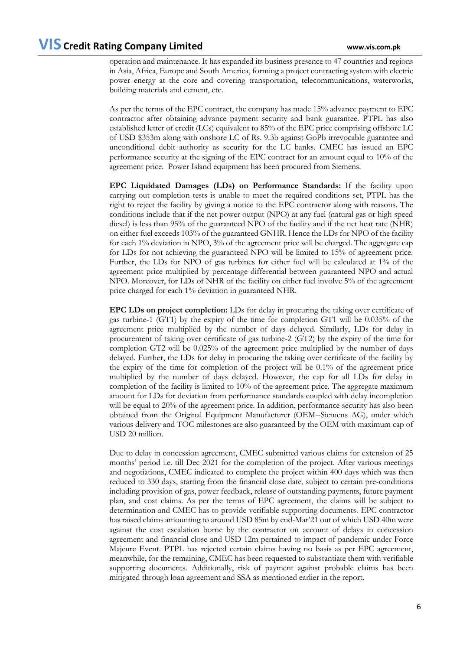operation and maintenance. It has expanded its business presence to 47 countries and regions in Asia, Africa, Europe and South America, forming a project contracting system with electric power energy at the core and covering transportation, telecommunications, waterworks, building materials and cement, etc.

As per the terms of the EPC contract, the company has made 15% advance payment to EPC contractor after obtaining advance payment security and bank guarantee. PTPL has also established letter of credit (LCs) equivalent to 85% of the EPC price comprising offshore LC of USD \$353m along with onshore LC of Rs. 9.3b against GoPb irrevocable guarantee and unconditional debit authority as security for the LC banks. CMEC has issued an EPC performance security at the signing of the EPC contract for an amount equal to 10% of the agreement price. Power Island equipment has been procured from Siemens.

**EPC Liquidated Damages (LDs) on Performance Standards:** If the facility upon carrying out completion tests is unable to meet the required conditions set, PTPL has the right to reject the facility by giving a notice to the EPC contractor along with reasons. The conditions include that if the net power output (NPO) at any fuel (natural gas or high speed diesel) is less than 95% of the guaranteed NPO of the facility and if the net heat rate (NHR) on either fuel exceeds 103% of the guaranteed GNHR. Hence the LDs for NPO of the facility for each 1% deviation in NPO, 3% of the agreement price will be charged. The aggregate cap for LDs for not achieving the guaranteed NPO will be limited to 15% of agreement price. Further, the LDs for NPO of gas turbines for either fuel will be calculated at 1% of the agreement price multiplied by percentage differential between guaranteed NPO and actual NPO. Moreover, for LDs of NHR of the facility on either fuel involve 5% of the agreement price charged for each 1% deviation in guaranteed NHR.

**EPC LDs on project completion:** LDs for delay in procuring the taking over certificate of gas turbine-1 (GT1) by the expiry of the time for completion GT1 will be 0.035% of the agreement price multiplied by the number of days delayed. Similarly, LDs for delay in procurement of taking over certificate of gas turbine-2 (GT2) by the expiry of the time for completion GT2 will be 0.025% of the agreement price multiplied by the number of days delayed. Further, the LDs for delay in procuring the taking over certificate of the facility by the expiry of the time for completion of the project will be 0.1% of the agreement price multiplied by the number of days delayed. However, the cap for all LDs for delay in completion of the facility is limited to 10% of the agreement price. The aggregate maximum amount for LDs for deviation from performance standards coupled with delay incompletion will be equal to 20% of the agreement price. In addition, performance security has also been obtained from the Original Equipment Manufacturer (OEM--Siemens AG), under which various delivery and TOC milestones are also guaranteed by the OEM with maximum cap of USD 20 million.

Due to delay in concession agreement, CMEC submitted various claims for extension of 25 months' period i.e. till Dec 2021 for the completion of the project. After various meetings and negotiations, CMEC indicated to complete the project within 400 days which was then reduced to 330 days, starting from the financial close date, subject to certain pre-conditions including provision of gas, power feedback, release of outstanding payments, future payment plan, and cost claims. As per the terms of EPC agreement, the claims will be subject to determination and CMEC has to provide verifiable supporting documents. EPC contractor has raised claims amounting to around USD 85m by end-Mar'21 out of which USD 40m were against the cost escalation borne by the contractor on account of delays in concession agreement and financial close and USD 12m pertained to impact of pandemic under Force Majeure Event. PTPL has rejected certain claims having no basis as per EPC agreement, meanwhile, for the remaining, CMEC has been requested to substantiate them with verifiable supporting documents. Additionally, risk of payment against probable claims has been mitigated through loan agreement and SSA as mentioned earlier in the report.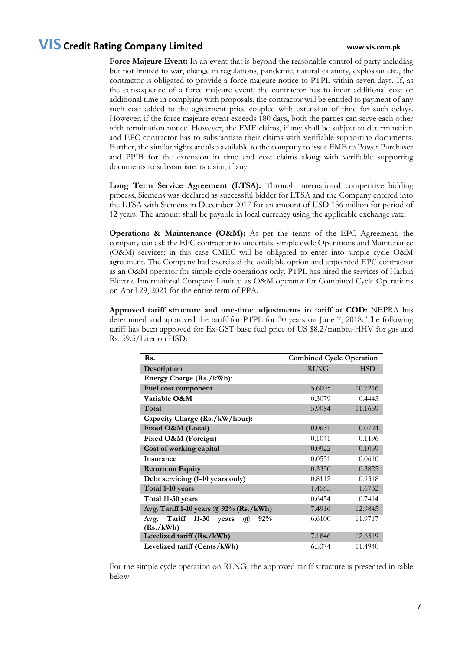Force Majeure Event: In an event that is beyond the reasonable control of party including but not limited to war, change in regulations, pandemic, natural calamity, explosion etc., the contractor is obligated to provide a force majeure notice to PTPL within seven days. If, as the consequence of a force majeure event, the contractor has to incur additional cost or additional time in complying with proposals, the contractor will be entitled to payment of any such cost added to the agreement price coupled with extension of time for such delays. However, if the force majeure event exceeds 180 days, both the parties can serve each other with termination notice. However, the FME claims, if any shall be subject to determination and EPC contractor has to substantiate their claims with verifiable supporting documents. Further, the similar rights are also available to the company to issue FME to Power Purchaser and PPIB for the extension in time and cost claims along with verifiable supporting documents to substantiate its claim, if any.

**Long Term Service Agreement (LTSA):** Through international competitive bidding process, Siemens was declared as successful bidder for LTSA and the Company entered into the LTSA with Siemens in December 2017 for an amount of USD 156 million for period of 12 years. The amount shall be payable in local currency using the applicable exchange rate.

**Operations & Maintenance (O&M):** As per the terms of the EPC Agreement, the company can ask the EPC contractor to undertake simple cycle Operations and Maintenance (O&M) services; in this case CMEC will be obligated to enter into simple cycle O&M agreement. The Company had exercised the available option and appointed EPC contractor as an O&M operator for simple cycle operations only. PTPL has hired the services of Harbin Electric International Company Limited as O&M operator for Combined Cycle Operations on April 29, 2021 for the entire term of PPA.

**Approved tariff structure and one-time adjustments in tariff at COD:** NEPRA has determined and approved the tariff for PTPL for 30 years on June 7, 2018. The following tariff has been approved for Ex-GST base fuel price of US \$8.2/mmbtu-HHV for gas and Rs. 59.5/Liter on HSD:

| Rs.                                              | <b>Combined Cycle Operation</b> |            |  |
|--------------------------------------------------|---------------------------------|------------|--|
| Description                                      | <b>RLNG</b>                     | <b>HSD</b> |  |
| Energy Charge (Rs./kWh):                         |                                 |            |  |
| Fuel cost component                              | 5.6005                          | 10.7216    |  |
| Variable O&M                                     | 0.3079                          | 0.4443     |  |
| Total                                            | 5.9084                          | 11.1659    |  |
| Capacity Charge (Rs./kW/hour):                   |                                 |            |  |
| Fixed O&M (Local)                                | 0.0631                          | 0.0724     |  |
| Fixed O&M (Foreign)                              | 0.1041                          | 0.1196     |  |
| Cost of working capital                          | 0.0922                          | 0.1059     |  |
| Insurance                                        | 0.0531                          | 0.0610     |  |
| <b>Return on Equity</b>                          | 0.3330                          | 0.3825     |  |
| Debt servicing (1-10 years only)                 | 0.8112                          | 0.9318     |  |
| Total 1-10 years                                 | 1.4565                          | 1.6732     |  |
| Total 11-30 years                                | 0.6454                          | 0.7414     |  |
| Avg. Tariff 1-10 years @ 92% (Rs./kWh)           | 7.4916                          | 12.9845    |  |
| Tariff 11-30<br>92%<br>Avg.<br>years<br>$\omega$ | 6.6100                          | 11.9717    |  |
| (Rs./kWh)                                        |                                 |            |  |
| Levelized tariff (Rs./kWh)                       | 7.1846                          | 12.6319    |  |
| Levelized tariff (Cents/kWh)                     | 6.5374                          | 11.4940    |  |

For the simple cycle operation on RLNG, the approved tariff structure is presented in table below: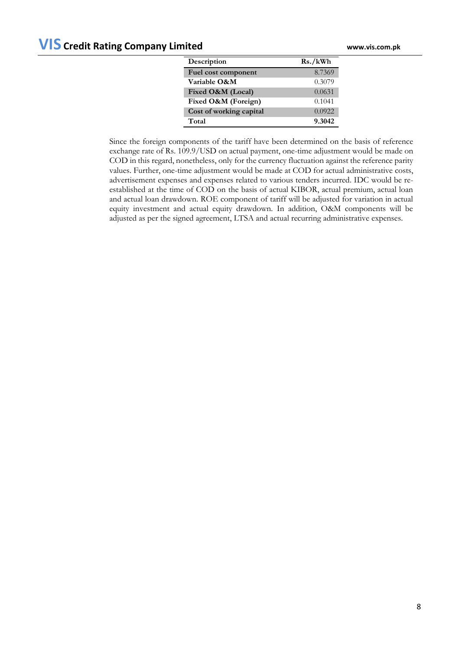| Description             | Rs./kWh |
|-------------------------|---------|
| Fuel cost component     | 8.7369  |
| Variable O&M            | 0.3079  |
| Fixed O&M (Local)       | 0.0631  |
| Fixed O&M (Foreign)     | 0.1041  |
| Cost of working capital | 0.0922  |
| Total                   | 9.3042  |

Since the foreign components of the tariff have been determined on the basis of reference exchange rate of Rs. 109.9/USD on actual payment, one-time adjustment would be made on COD in this regard, nonetheless, only for the currency fluctuation against the reference parity values. Further, one-time adjustment would be made at COD for actual administrative costs, advertisement expenses and expenses related to various tenders incurred. IDC would be reestablished at the time of COD on the basis of actual KIBOR, actual premium, actual loan and actual loan drawdown. ROE component of tariff will be adjusted for variation in actual equity investment and actual equity drawdown. In addition, O&M components will be adjusted as per the signed agreement, LTSA and actual recurring administrative expenses.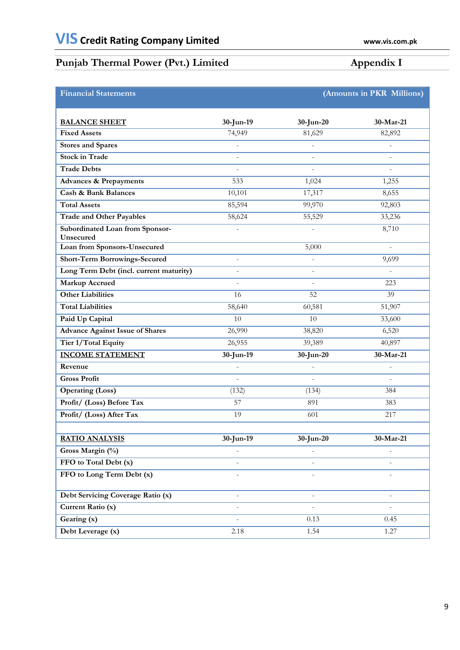# **Punjab Thermal Power (Pvt.) Limited Appendix I**

| <b>Financial Statements</b>                  | (Amounts in PKR Millions) |                          |                          |  |
|----------------------------------------------|---------------------------|--------------------------|--------------------------|--|
|                                              |                           |                          |                          |  |
| <b>BALANCE SHEET</b>                         | 30-Jun-19                 | 30-Jun-20                | 30-Mar-21                |  |
| <b>Fixed Assets</b>                          | 74,949                    | 81,629                   | 82,892                   |  |
| <b>Stores and Spares</b>                     | $\frac{1}{2}$             | $\frac{1}{2}$            | $\overline{\phantom{a}}$ |  |
| <b>Stock in Trade</b>                        | $\bar{a}$                 | $\bar{\phantom{a}}$      | $\sim$                   |  |
| <b>Trade Debts</b>                           |                           |                          |                          |  |
| <b>Advances &amp; Prepayments</b>            | 533                       | 1,024                    | 1,255                    |  |
| <b>Cash &amp; Bank Balances</b>              | 10,101                    | 17,317                   | 8,655                    |  |
| <b>Total Assets</b>                          | 85,594                    | 99,970                   | 92,803                   |  |
| <b>Trade and Other Payables</b>              | 58,624                    | 55,529                   | 33,236                   |  |
| Subordinated Loan from Sponsor-<br>Unsecured | $\blacksquare$            | L,                       | 8,710                    |  |
| <b>Loan from Sponsors-Unsecured</b>          |                           | 5,000                    | $\sim$                   |  |
| <b>Short-Term Borrowings-Secured</b>         | $\omega$                  | $\bar{\phantom{a}}$      | 9,699                    |  |
| Long Term Debt (incl. current maturity)      | $\bar{a}$                 | L,                       | $\overline{a}$           |  |
| <b>Markup Accrued</b>                        | $\overline{a}$            | $\overline{a}$           | 223                      |  |
| <b>Other Liabilities</b>                     | 16                        | 52                       | 39                       |  |
| <b>Total Liabilities</b>                     | 58,640                    | 60,581                   | 51,907                   |  |
| Paid Up Capital                              | 10                        | 10                       | 33,600                   |  |
| <b>Advance Against Issue of Shares</b>       | 26,990                    | 38,820                   | 6,520                    |  |
| Tier 1/Total Equity                          | 26,955                    | 39,389                   | 40,897                   |  |
| <b>INCOME STATEMENT</b>                      | 30-Jun-19                 | 30-Jun-20                | 30-Mar-21                |  |
| Revenue                                      | $\sim$                    | $\frac{1}{2}$            | $\overline{\phantom{a}}$ |  |
| <b>Gross Profit</b>                          | ÷,                        | L,                       | $\sim$                   |  |
| <b>Operating (Loss)</b>                      | (132)                     | (134)                    | 384                      |  |
| Profit/ (Loss) Before Tax                    | 57                        | 891                      | 383                      |  |
| Profit/ (Loss) After Tax                     | 19                        | 601                      | 217                      |  |
|                                              |                           |                          |                          |  |
| <b>RATIO ANALYSIS</b>                        | $30$ -Jun-19              | $30$ -Jun-20             | $30-Mar-21$              |  |
| Gross Margin (%)                             |                           |                          |                          |  |
| FFO to Total Debt (x)                        |                           | ä,                       |                          |  |
| FFO to Long Term Debt (x)                    |                           |                          |                          |  |
| Debt Servicing Coverage Ratio (x)            | $\bar{\phantom{a}}$       | $\overline{\phantom{a}}$ | $\omega$                 |  |
| Current Ratio (x)                            | ÷,                        |                          |                          |  |
| Gearing (x)                                  |                           | 0.13                     | 0.45                     |  |
| Debt Leverage (x)                            | 2.18                      | 1.54                     | 1.27                     |  |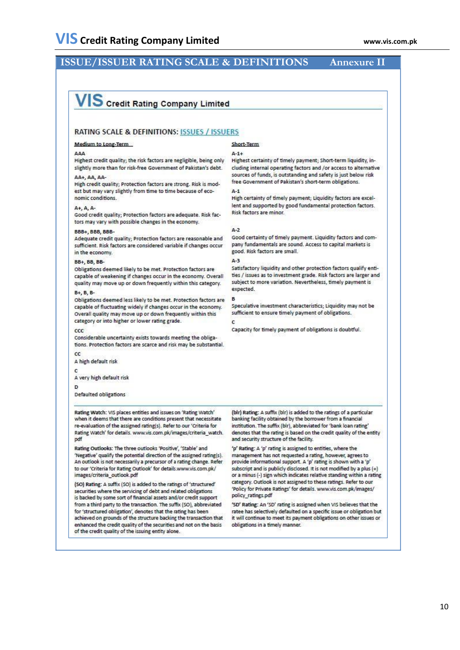# **ISSUE/ISSUER RATING SCALE & DEFINITIONS Annexure II**

# VIS Credit Rating Company Limited

#### **RATING SCALE & DEFINITIONS: ISSUES / ISSUERS**

#### Medium to Long-Term

#### AAA

Highest credit quality; the risk factors are negligible, being only slightly more than for risk-free Government of Pakistan's debt.

### AA+, AA, AA-

High credit quality; Protection factors are strong. Risk is modest but may vary slightly from time to time because of economic conditions

#### A+, A, A

Good credit quality; Protection factors are adequate. Risk factors may vary with possible changes in the economy.

#### BBB+, BBB, BBB-

Adequate credit quality; Protection factors are reasonable and sufficient. Risk factors are considered variable if changes occur. in the economy.

#### **BB+, BB, BB-**

Obligations deemed likely to be met. Protection factors are capable of weakening if changes occur in the economy. Overall quality may move up or down frequently within this category.

#### **B+, B, B-**

Obligations deemed less likely to be met. Protection factors are capable of fluctuating widely if changes occur in the economy. Overall quality may move up or down frequently within this category or into higher or lower rating grade.

#### $ccc$

 $\alpha$ 

Considerable uncertainty exists towards meeting the obligations. Protection factors are scarce and risk may be substantial.

A high default risk

 $\epsilon$ 

A very high default risk

#### 'n

Defaulted obligations

**Rating Watch: VIS places entities and issues on 'Rating Watch'** when it deems that there are conditions present that necessitate re-evaluation of the assigned rating(s). Refer to our 'Criteria for Rating Watch' for details. www.vis.com.pk/images/criteria\_watch. pdf

Rating Outlooks: The three outlooks 'Positive', 'Stable' and 'Negative' qualify the potential direction of the assigned rating(s). An outlook is not necessarily a precursor of a rating change. Refer to our 'Criteria for Rating Outlook' for details.www.vis.com.pk/ images/criteria\_outlook.pdf

(SO) Rating: A suffix (SO) is added to the ratings of 'structured' securities where the servicing of debt and related obligations is backed by some sort of financial assets and/or credit support from a third party to the transaction. The suffix (SO), abbreviated for 'structured obligation', denotes that the rating has been achieved on grounds of the structure backing the transaction that enhanced the credit quality of the securities and not on the basis of the credit quality of the issuing entity alone.

## Short-Term

#### $\Delta - 1 +$

Highest certainty of timely payment; Short-term liquidity, including internal operating factors and /or access to alternative sources of funds, is outstanding and safety is just below risk free Government of Pakistan's short-term obligations.

#### $\Delta - 1$

High certainty of timely payment; Liquidity factors are excellent and supported by good fundamental protection factors. Risk factors are minor.

#### $A-2$

Good certainty of timely payment. Liquidity factors and company fundamentals are sound. Access to capital markets is good, Risk factors are small

#### A-3

Satisfactory liquidity and other protection factors qualify entities / issues as to investment grade. Risk factors are larger and subject to more variation. Nevertheless, timely payment is expected.

Speculative investment characteristics; Liquidity may not be sufficient to ensure timely payment of obligations.

Capacity for timely payment of obligations is doubtful.

(blr) Rating: A suffix (blr) is added to the ratings of a particular banking facility obtained by the borrower from a financial institution. The suffix (blr), abbreviated for 'bank loan rating' denotes that the rating is based on the credit quality of the entity and security structure of the facility.

'p' Rating: A 'p' rating is assigned to entities, where the management has not requested a rating, however, agrees to provide informational support. A 'p' rating is shown with a 'p' subscript and is publicly disclosed. It is not modified by a plus (+) or a minus (-) sign which indicates relative standing within a rating category. Outlook is not assigned to these ratings. Refer to our 'Policy for Private Ratings' for details. www.vis.com.pk/images/ policy\_ratings.pdf

'SD' Rating: An 'SD' rating is assigned when VIS believes that the ratee has selectively defaulted on a specific issue or obligation but it will continue to meet its payment obligations on other issues or obligations in a timely manner.

### 10